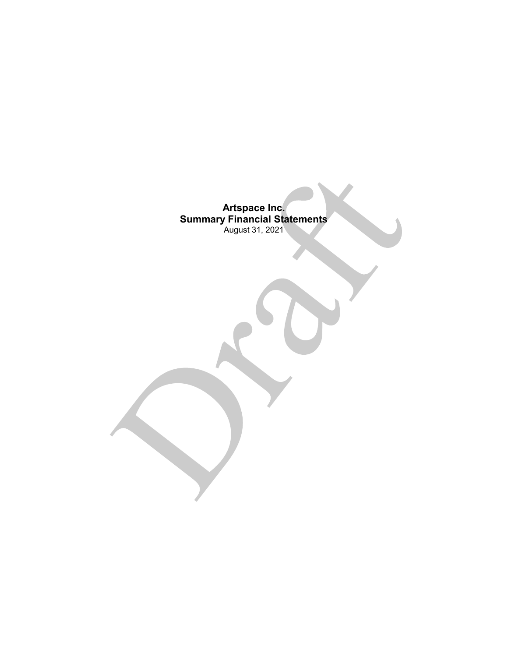**Artspace Inc. Summary Financial Statements** August 31, 2021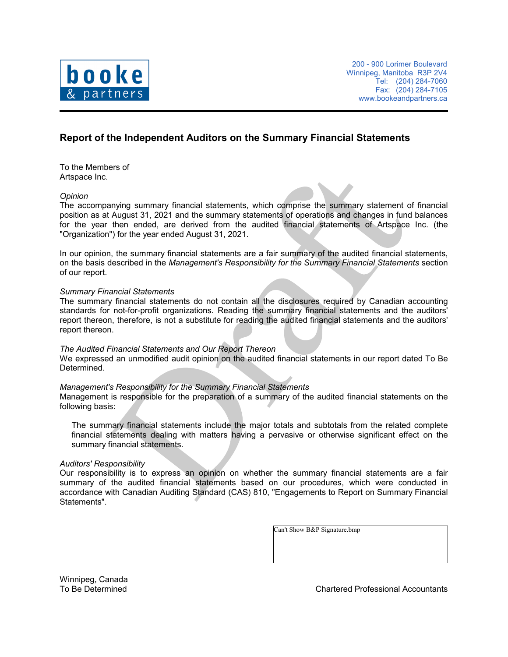

# **Report of the Independent Auditors on the Summary Financial Statements**

To the Members of Artspace Inc.

### *Opinion*

The accompanying summary financial statements, which comprise the summary statement of financial position as at August 31, 2021 and the summary statements of operations and changes in fund balances for the year then ended, are derived from the audited financial statements of Artspace Inc. (the "Organization") for the year ended August 31, 2021.

In our opinion, the summary financial statements are a fair summary of the audited financial statements, on the basis described in the *Management's Responsibility for the Summary Financial Statements* section of our report.

#### *Summary Financial Statements*

The summary financial statements do not contain all the disclosures required by Canadian accounting standards for not-for-profit organizations. Reading the summary financial statements and the auditors' report thereon, therefore, is not a substitute for reading the audited financial statements and the auditors' report thereon.

### *The Audited Financial Statements and Our Report Thereon*

We expressed an unmodified audit opinion on the audited financial statements in our report dated To Be Determined.

### *Management's Responsibility for the Summary Financial Statements*

Management is responsible for the preparation of a summary of the audited financial statements on the following basis:

The summary financial statements include the major totals and subtotals from the related complete financial statements dealing with matters having a pervasive or otherwise significant effect on the summary financial statements.

#### *Auditors' Responsibility*

Our responsibility is to express an opinion on whether the summary financial statements are a fair summary of the audited financial statements based on our procedures, which were conducted in accordance with Canadian Auditing Standard (CAS) 810, "Engagements to Report on Summary Financial Statements".

Can't Show B&P Signature.bmp

Winnipeg, Canada

To Be Determined Chartered Professional Accountants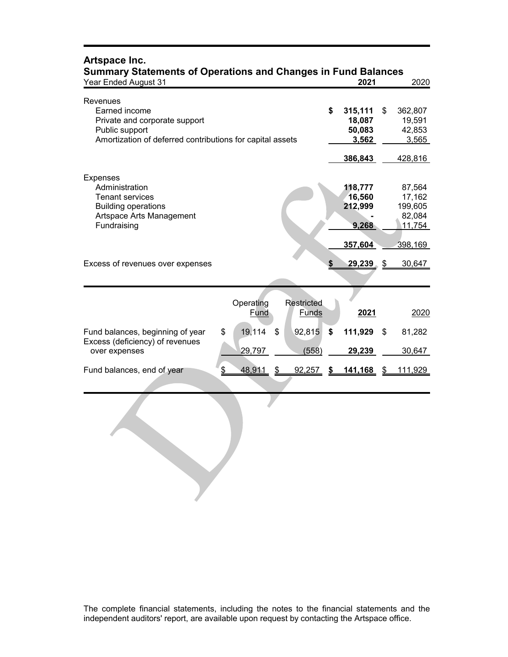| <b>Summary Statements of Operations and Changes in Fund Balances</b><br><b>Year Ended August 31</b>                                       | 2021                                                  |                                                 |    |                                                 |
|-------------------------------------------------------------------------------------------------------------------------------------------|-------------------------------------------------------|-------------------------------------------------|----|-------------------------------------------------|
| Revenues<br>Earned income<br>Private and corporate support<br>Public support<br>Amortization of deferred contributions for capital assets | \$                                                    | 315,111<br>18,087<br>50,083<br>3,562<br>386,843 | \$ | 362,807<br>19,591<br>42,853<br>3,565<br>428,816 |
| <b>Expenses</b><br>Administration<br><b>Tenant services</b><br><b>Building operations</b><br>Artspace Arts Management<br>Fundraising      |                                                       | 118,777<br>16,560<br>212,999<br>9,268           |    | 87,564<br>17,162<br>199,605<br>82,084<br>11,754 |
| Excess of revenues over expenses                                                                                                          |                                                       | 357,604<br>29,239 \$                            |    | 398,169<br>30,647                               |
|                                                                                                                                           | <b>Restricted</b><br>Operating<br>Fund<br>Funds       | 2021                                            |    | 2020                                            |
| Fund balances, beginning of year<br>Excess (deficiency) of revenues                                                                       | \$<br>19,114<br>\$<br>\$<br>92,815                    | 111,929                                         | \$ | 81,282                                          |
| over expenses<br>Fund balances, end of year                                                                                               | 29,797<br>(558)<br>\$<br>48,911<br>92,257<br>\$<br>\$ | 29,239<br><u>141,168</u>                        | S  | 30,647<br>111,929                               |
|                                                                                                                                           |                                                       |                                                 |    |                                                 |
|                                                                                                                                           |                                                       |                                                 |    |                                                 |

# **Artspace Inc.**

The complete financial statements, including the notes to the financial statements and the independent auditors' report, are available upon request by contacting the Artspace office.